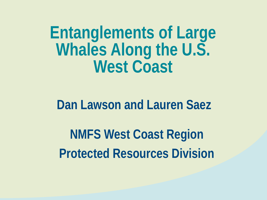**Entanglements of Large Whales Along the U.S. West Coast** 

#### **Dan Lawson and Lauren Saez**

**NMFS West Coast Region Protected Resources Division**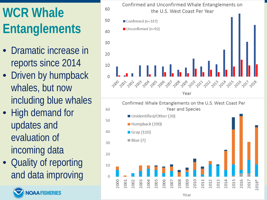# **WCR Whale Entanglements**

- Dramatic increase in reports since 2014
- Driven by humpback whales, but now including blue whales
- High demand for updates and evaluation of incoming data
- Quality of reporting and data improving



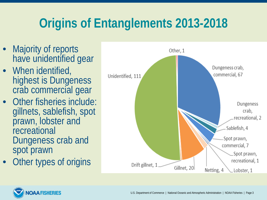## **Origins of Entanglements 2013-2018**

- Majority of reports have unidentified gear
- When identified, highest is Dungeness crab commercial gear
- Other fisheries include: gillnets, sablefish, spot prawn, lobster and recreational Dungeness crab and spot prawn
- Other types of origins



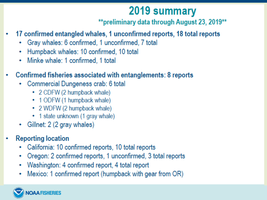#### 2019 summary

\*\*preliminary data through August 23, 2019\*\*

- 17 confirmed entangled whales, 1 unconfirmed reports, 18 total reports
	- Gray whales: 6 confirmed, 1 unconfirmed, 7 total  $\bullet$
	- Humpback whales: 10 confirmed, 10 total ۰
	- Minke whale: 1 confirmed, 1 total  $\bullet$
- Confirmed fisheries associated with entanglements: 8 reports
	- Commercial Dungeness crab: 6 total
		- 2 CDFW (2 humpback whale)
		- 1 ODFW (1 humpback whale)
		- 2 WDFW (2 humpback whale)
		- 1 state unknown (1 gray whale)
	- Gillnet: 2 (2 gray whales)
- **Reporting location** 
	- California: 10 confirmed reports, 10 total reports ٠
	- Oregon: 2 confirmed reports, 1 unconfirmed, 3 total reports ۰
	- Washington: 4 confirmed report, 4 total report ٠
	- Mexico: 1 confirmed report (humpback with gear from OR)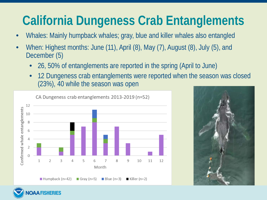## **California Dungeness Crab Entanglements**

- Whales: Mainly humpback whales; gray, blue and killer whales also entangled
- When: Highest months: June (11), April (8), May (7), August (8), July (5), and December (5)
	- 26, 50% of entanglements are reported in the spring (April to June)
	- 12 Dungeness crab entanglements were reported when the season was closed (23%), 40 while the season was open



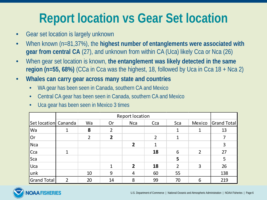### **Report location vs Gear Set location**

- Gear set location is largely unknown
- When known (n=81,37%), the **highest number of entanglements were associated with gear from central CA** (27), and unknown from within CA (Uca) likely Cca or Nca (26)
- When gear set location is known, **the entanglement was likely detected in the same region (n=55, 68%)** (CCa in Cca was the highest, 18, followed by Uca in Cca 18 + Nca 2)
- **Whales can carry gear across many state and countries**
	- WA gear has been seen in Canada, southern CA and Mexico
	- Central CA gear has been seen in Canada, southern CA and Mexico
	- Uca gear has been seen in Mexico 3 times

|                      | <b>Report location</b> |    |                |                |                |     |        |             |
|----------------------|------------------------|----|----------------|----------------|----------------|-----|--------|-------------|
| Set location Cananda |                        | Wa | Or             | <b>Nca</b>     | Cca            | Sca | Mexico | Grand Total |
| <b>Wa</b>            |                        | 8  | 2              |                |                |     |        | 13          |
| Or                   |                        | 2  | $\overline{2}$ |                | $\overline{2}$ |     |        |             |
| Nca                  |                        |    |                | $\overline{2}$ | $\mathbf{1}$   |     |        | 3           |
| Cca                  |                        |    |                |                | 18             | 6   | 2      | 27          |
| Sca                  |                        |    |                |                |                | 5   |        | 5           |
| Uca                  |                        |    |                | $\overline{2}$ | 18             | 2   | 3      | 26          |
| lunk                 |                        | 10 | 9              | $\overline{4}$ | 60             | 55  |        | 138         |
| <b>Grand Total</b>   | 2                      | 20 | 14             | 8              | 99             | 70  | 6      | 219         |

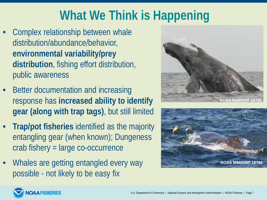## **What We Think is Happening**

- Complex relationship between whale distribution/abundance/behavior, **environmental variability/prey distribution**, fishing effort distribution, public awareness
- Better documentation and increasing response has **increased ability to identify gear (along with trap tags)**, but still limited
- **Trap/pot fisheries** identified as the majority entangling gear (when known); Dungeness crab fishery = large co-occurrence
- Whales are getting entangled every way possible - not likely to be easy fix





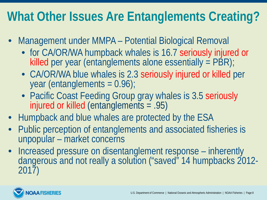### **What Other Issues Are Entanglements Creating?**

- Management under MMPA Potential Biological Removal
	- for CA/OR/WA humpback whales is 16.7 seriously injured or killed per year (entanglements alone essentially  $=$  PBR);
	- CA/OR/WA blue whales is 2.3 seriously injured or killed per year (entanglements = 0.96);
	- Pacific Coast Feeding Group gray whales is 3.5 seriously injured or killed (entanglements = .95)
- Humpback and blue whales are protected by the ESA
- Public perception of entanglements and associated fisheries is unpopular – market concerns
- Increased pressure on disentanglement response inherently dangerous and not really a solution ("saved" 14 humpbacks 2012- 2017)

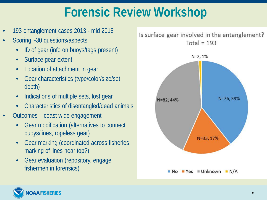#### **Forensic Review Workshop**

- 193 entanglement cases 2013 mid 2018
- Scoring ~30 questions/aspects
	- ID of gear (info on buoys/tags present)
	- Surface gear extent
	- Location of attachment in gear
	- Gear characteristics (type/color/size/set depth)
	- Indications of multiple sets, lost gear
	- Characteristics of disentangled/dead animals
- Outcomes coast wide engagement
	- Gear modification (alternatives to connect buoys/lines, ropeless gear)
	- Gear marking (coordinated across fisheries, marking of lines near top?)
	- Gear evaluation (repository, engage fishermen in forensics)

Is surface gear involved in the entanglement? Total =  $193$